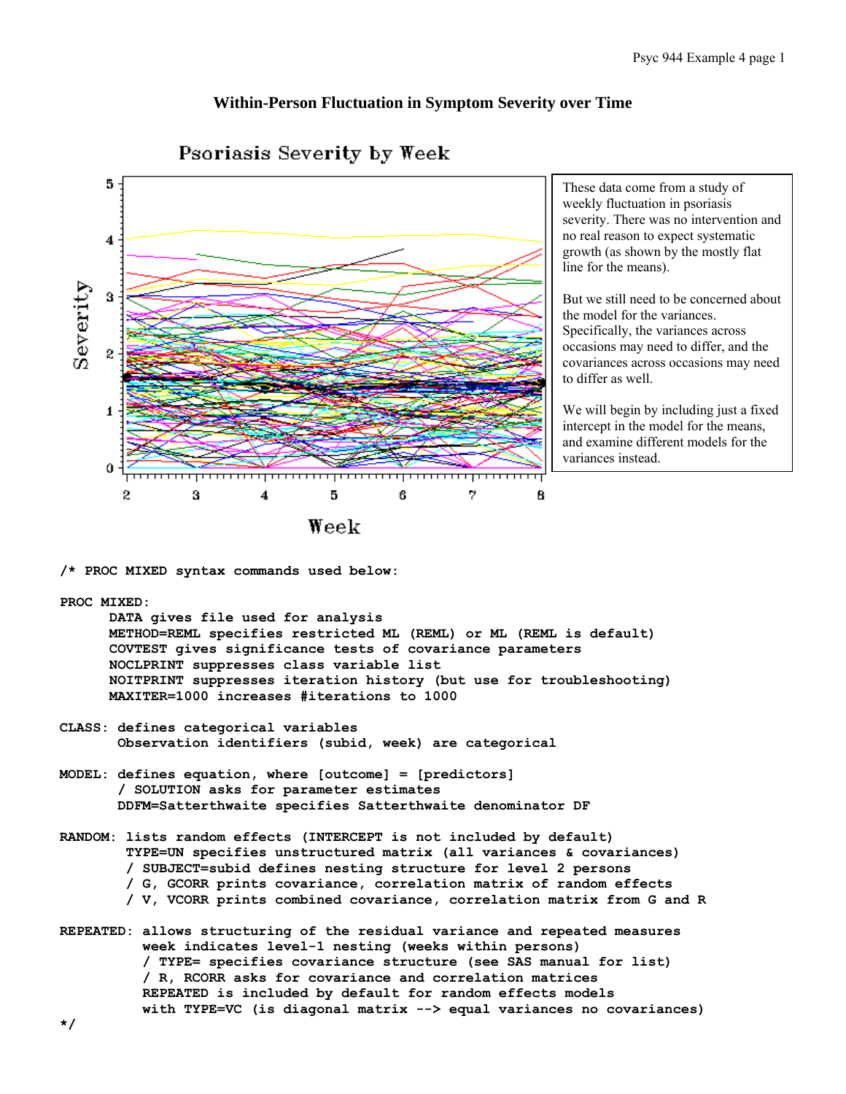# **Within-Person Fluctuation in Symptom Severity over Time**



Psoriasis Severity by Week

These data come from a study of weekly fluctuation in psoriasis severity. There was no intervention and no real reason to expect systematic growth (as shown by the mostly flat line for the means).

But we still need to be concerned about the model for the variances. Specifically, the variances across occasions may need to differ, and the covariances across occasions may need to differ as well.

We will begin by including just a fixed intercept in the model for the means, and examine different models for the variances instead.

**/\* PROC MIXED syntax commands used below:** 

# **PROC MIXED:**

 **DATA gives file used for analysis METHOD=REML specifies restricted ML (REML) or ML (REML is default) COVTEST gives significance tests of covariance parameters NOCLPRINT suppresses class variable list NOITPRINT suppresses iteration history (but use for troubleshooting) MAXITER=1000 increases #iterations to 1000** 

- **CLASS: defines categorical variables Observation identifiers (subid, week) are categorical**
- **MODEL: defines equation, where [outcome] = [predictors] / SOLUTION asks for parameter estimates DDFM=Satterthwaite specifies Satterthwaite denominator DF**
- **RANDOM: lists random effects (INTERCEPT is not included by default) TYPE=UN specifies unstructured matrix (all variances & covariances) / SUBJECT=subid defines nesting structure for level 2 persons / G, GCORR prints covariance, correlation matrix of random effects / V, VCORR prints combined covariance, correlation matrix from G and R**
- **REPEATED: allows structuring of the residual variance and repeated measures week indicates level-1 nesting (weeks within persons) / TYPE= specifies covariance structure (see SAS manual for list) / R, RCORR asks for covariance and correlation matrices REPEATED is included by default for random effects models with TYPE=VC (is diagonal matrix --> equal variances no covariances)**

**\*/**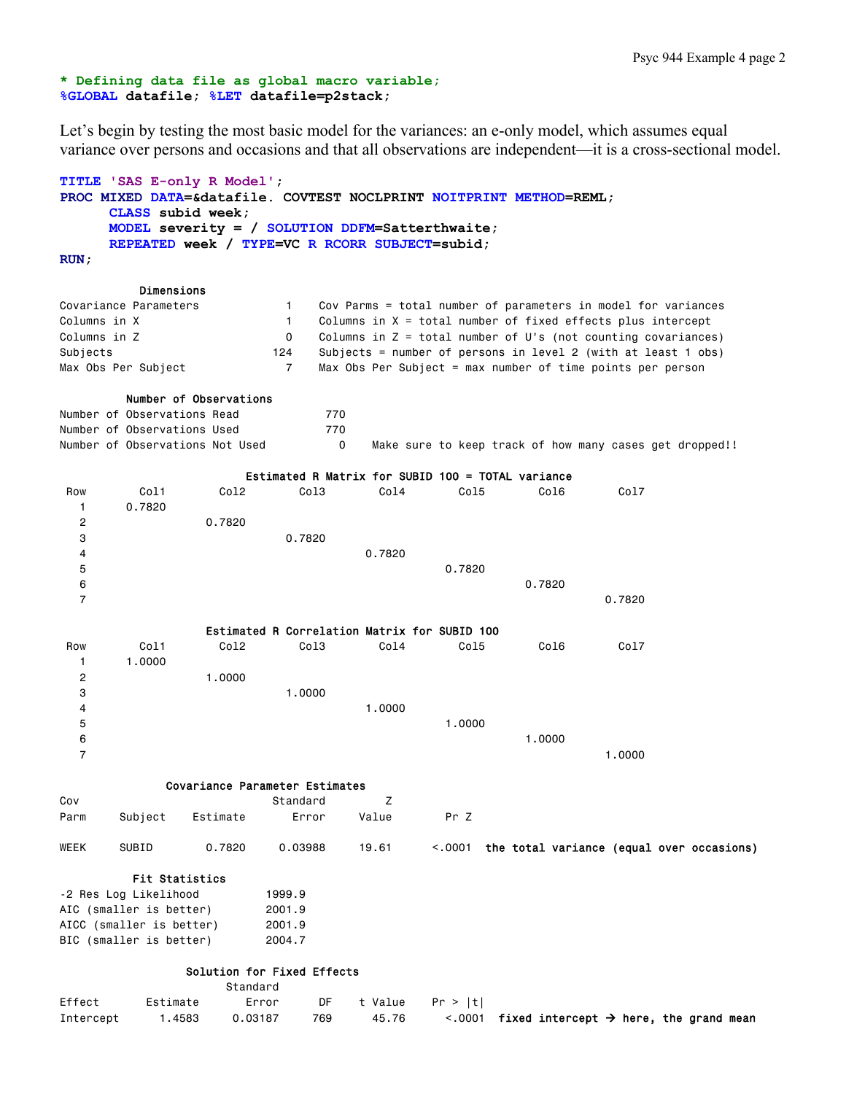# **\* Defining data file as global macro variable; %GLOBAL datafile; %LET datafile=p2stack;**

Let's begin by testing the most basic model for the variances: an e-only model, which assumes equal variance over persons and occasions and that all observations are independent—it is a cross-sectional model.

```
TITLE 'SAS E-only R Model'; 
PROC MIXED DATA=&datafile. COVTEST NOCLPRINT NOITPRINT METHOD=REML; 
      CLASS subid week; 
      MODEL severity = / SOLUTION DDFM=Satterthwaite; 
      REPEATED week / TYPE=VC R RCORR SUBJECT=subid; 
RUN;
```
#### Dimensions

| Covariance Parameters |     | Cov Parms = total number of parameters in model for variances   |
|-----------------------|-----|-----------------------------------------------------------------|
| Columns in X          |     | Columns in $X = total$ number of fixed effects plus intercept   |
| Columns in Z          |     | Columns in $Z = total$ number of U's (not counting covariances) |
| Subiects              | 124 | Subjects = number of persons in level 2 (with at least 1 obs)   |
| Max Obs Per Subiect   |     | Max Obs Per Subject = max number of time points per person      |

# Number of Observations

|  | Number of Observations Read     | 770 |  |  |  |  |  |                                                         |
|--|---------------------------------|-----|--|--|--|--|--|---------------------------------------------------------|
|  | Number of Observations Used     | 770 |  |  |  |  |  |                                                         |
|  | Number of Observations Not Used |     |  |  |  |  |  | Make sure to keep track of how many cases get dropped!! |

|                         |         |                                |                                              |        | Estimated R Matrix for SUBID 100 = TOTAL variance |        |        |
|-------------------------|---------|--------------------------------|----------------------------------------------|--------|---------------------------------------------------|--------|--------|
| Row                     | Col1    | Co12                           | Co13                                         | Co14   | Col5                                              | Co16   | Co17   |
|                         | 0.7820  |                                |                                              |        |                                                   |        |        |
| $\mathbf 2$             |         | 0.7820                         |                                              |        |                                                   |        |        |
| 3                       |         |                                | 0.7820                                       |        |                                                   |        |        |
| 4                       |         |                                |                                              | 0.7820 |                                                   |        |        |
| 5                       |         |                                |                                              |        | 0.7820                                            |        |        |
| 6                       |         |                                |                                              |        |                                                   | 0.7820 |        |
| $\overline{\mathbf{z}}$ |         |                                |                                              |        |                                                   |        | 0.7820 |
|                         |         |                                |                                              |        |                                                   |        |        |
|                         |         |                                | Estimated R Correlation Matrix for SUBID 100 |        |                                                   |        |        |
| Row                     | Col1    | Co12                           | Co13                                         | Co14   | Col5                                              | Co16   | Co17   |
|                         | 1.0000  |                                |                                              |        |                                                   |        |        |
| 2                       |         | 1.0000                         |                                              |        |                                                   |        |        |
| 3                       |         |                                | 1.0000                                       |        |                                                   |        |        |
| 4                       |         |                                |                                              | 1.0000 |                                                   |        |        |
| 5                       |         |                                |                                              |        | 1.0000                                            |        |        |
| 6                       |         |                                |                                              |        |                                                   | 1.0000 |        |
| $\overline{7}$          |         |                                |                                              |        |                                                   |        | 1.0000 |
|                         |         |                                |                                              |        |                                                   |        |        |
|                         |         | Covariance Parameter Estimates |                                              |        |                                                   |        |        |
| Cov                     |         |                                | Standard                                     | z      |                                                   |        |        |
| Parm                    | Subject | Estimate                       | Error                                        | Value  | Pr Z                                              |        |        |
|                         |         |                                |                                              |        |                                                   |        |        |

#### Fit Statistics

| -2 Res Log Likelihood    | 1999.9 |
|--------------------------|--------|
| AIC (smaller is better)  | 2001.9 |
| AICC (smaller is better) | 2001.9 |
| BIC (smaller is better)  | 2004.7 |

## Solution for Fixed Effects

|           |          | Standard |     |                    |                                                                            |  |  |
|-----------|----------|----------|-----|--------------------|----------------------------------------------------------------------------|--|--|
| Effect    | Estimate | Error    |     | DF tValue Pr > Itl |                                                                            |  |  |
| Intercept | 1.4583   | 0.03187  | 769 | 45.76              | $\langle .0001 \rangle$ fixed intercept $\rightarrow$ here, the grand mean |  |  |

WEEK SUBID 0.7820 0.03988 19.61 <.0001 the total variance (equal over occasions)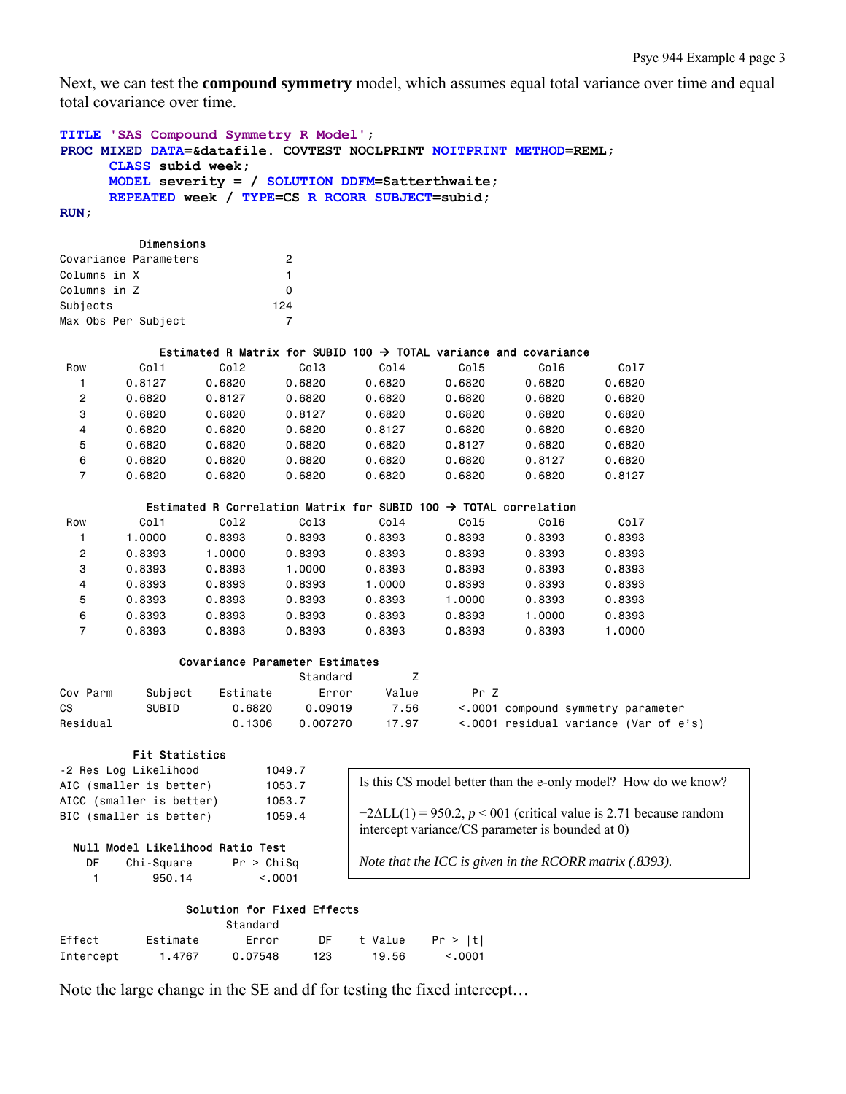Next, we can test the **compound symmetry** model, which assumes equal total variance over time and equal total covariance over time.

```
TITLE 'SAS Compound Symmetry R Model'; 
PROC MIXED DATA=&datafile. COVTEST NOCLPRINT NOITPRINT METHOD=REML; 
      CLASS subid week; 
      MODEL severity = / SOLUTION DDFM=Satterthwaite; 
      REPEATED week / TYPE=CS R RCORR SUBJECT=subid; 
RUN;
```
#### Dimensions

|                     | Covariance Parameters | 2   |
|---------------------|-----------------------|-----|
| Columns in X        |                       | 1   |
| Columns in Z        |                       | n   |
| Subjects            |                       | 124 |
| Max Obs Per Subject |                       |     |

### Estimated R Matrix for SUBID 100  $\rightarrow$  TOTAL variance and covariance

| Row | Col1   | Co12   | Co13   | Co14   | Col5   | Col6   | Col7   |
|-----|--------|--------|--------|--------|--------|--------|--------|
|     | 0.8127 | 0.6820 | 0.6820 | 0.6820 | 0.6820 | 0.6820 | 0.6820 |
| 2   | 0.6820 | 0.8127 | 0.6820 | 0.6820 | 0.6820 | 0.6820 | 0.6820 |
| 3   | 0.6820 | 0.6820 | 0.8127 | 0.6820 | 0.6820 | 0.6820 | 0.6820 |
| 4   | 0.6820 | 0.6820 | 0.6820 | 0.8127 | 0.6820 | 0.6820 | 0.6820 |
| 5   | 0.6820 | 0.6820 | 0.6820 | 0.6820 | 0.8127 | 0.6820 | 0.6820 |
| 6   | 0.6820 | 0.6820 | 0.6820 | 0.6820 | 0.6820 | 0.8127 | 0.6820 |
|     | 0.6820 | 0.6820 | 0.6820 | 0.6820 | 0.6820 | 0.6820 | 0.8127 |

#### Estimated R Correlation Matrix for SUBID 100  $\rightarrow$  TOTAL correlation

| Row | Col1   | Co12   | Co13   | Co14   | Col5   | Col6   | Col7   |
|-----|--------|--------|--------|--------|--------|--------|--------|
|     | 1.0000 | 0.8393 | 0.8393 | 0.8393 | 0.8393 | 0.8393 | 0.8393 |
| 2   | 0.8393 | 1.0000 | 0.8393 | 0.8393 | 0.8393 | 0.8393 | 0.8393 |
| 3   | 0.8393 | 0.8393 | 1.0000 | 0.8393 | 0.8393 | 0.8393 | 0.8393 |
| 4   | 0.8393 | 0.8393 | 0.8393 | 1.0000 | 0.8393 | 0.8393 | 0.8393 |
| 5   | 0.8393 | 0.8393 | 0.8393 | 0.8393 | 1.0000 | 0.8393 | 0.8393 |
| 6   | 0.8393 | 0.8393 | 0.8393 | 0.8393 | 0.8393 | 1.0000 | 0.8393 |
|     | 0.8393 | 0.8393 | 0.8393 | 0.8393 | 0.8393 | 0.8393 | 1.0000 |

#### Covariance Parameter Estimates

|          |         |          | Standard |       |                                       |
|----------|---------|----------|----------|-------|---------------------------------------|
| Cov Parm | Subject | Estimate | Error    | Value | Pr 7                                  |
| CS.      | SUBID   | 0.6820   | 0.09019  | 7.56  | <.0001 compound symmetry parameter    |
| Residual |         | 0.1306   | 0.007270 | 17.97 | <.0001 residual variance (Var of e's) |

#### Fit Statistics

| -2 Res Log Likelihood    | 1049.7 |
|--------------------------|--------|
| AIC (smaller is better)  | 1053.7 |
| AICC (smaller is better) | 1053.7 |
| BIC (smaller is better)  | 1059.4 |
|                          |        |

Is this CS model better than the e-only model? How do we know?  $-2\Delta LL(1) = 950.2$ ,  $p < 001$  (critical value is 2.71 because random

#### Null Model Likelihood Ratio Test

| DF | Chi-Square | Pr > Chisq |
|----|------------|------------|
|    | 950.14     | < 0.001    |

*Note that the ICC is given in the RCORR matrix (.8393).* 

intercept variance/CS parameter is bounded at 0)

## Solution for Fixed Effects

|           |          | Standard |           |         |         |
|-----------|----------|----------|-----------|---------|---------|
| Effect    | Estimate | Error    | <b>DE</b> | t Value | Pr >  t |
| Intercept | 1.4767   | 0.07548  | 123       | 19.56   | < 0.001 |

Note the large change in the SE and df for testing the fixed intercept…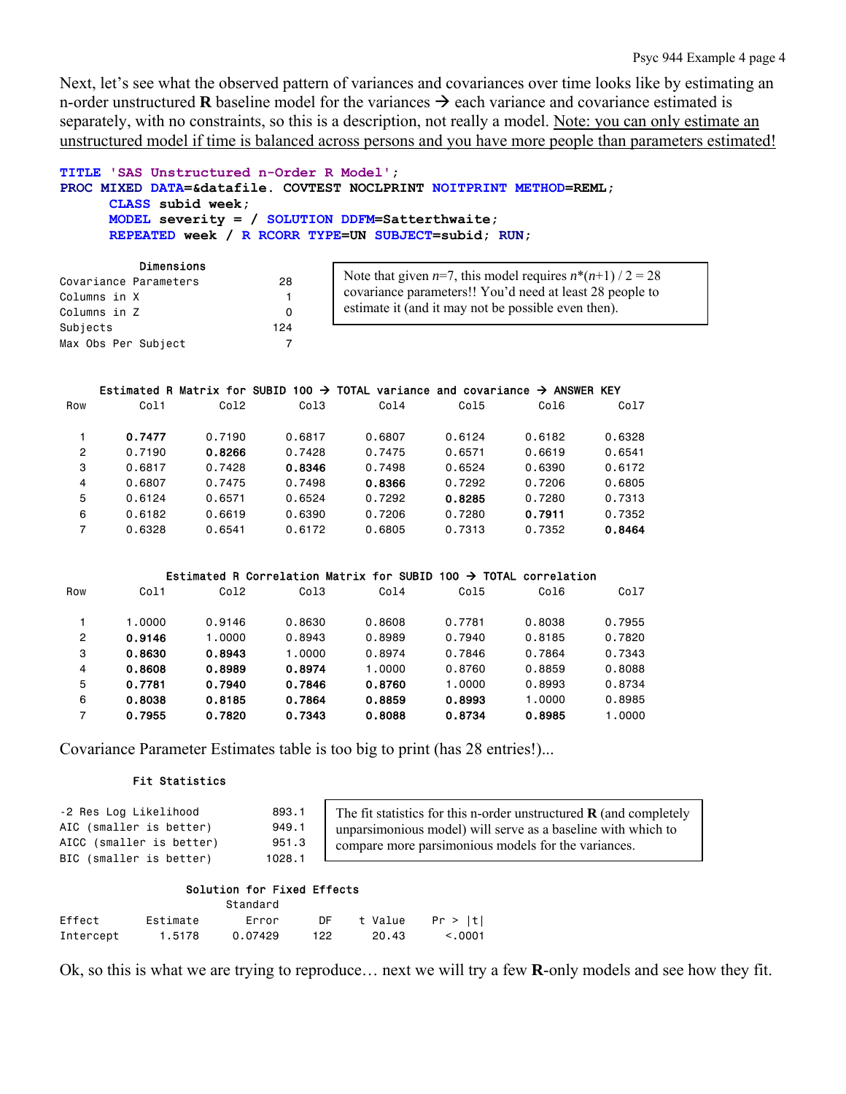Next, let's see what the observed pattern of variances and covariances over time looks like by estimating an n-order unstructured **R** baseline model for the variances  $\rightarrow$  each variance and covariance estimated is separately, with no constraints, so this is a description, not really a model. Note: you can only estimate an unstructured model if time is balanced across persons and you have more people than parameters estimated!

```
TITLE 'SAS Unstructured n-Order R Model'; 
PROC MIXED DATA=&datafile. COVTEST NOCLPRINT NOITPRINT METHOD=REML; 
      CLASS subid week; 
     MODEL severity = / SOLUTION DDFM=Satterthwaite; 
      REPEATED week / R RCORR TYPE=UN SUBJECT=subid; RUN;
```

|                     | ртшызтона             |     |
|---------------------|-----------------------|-----|
|                     | Covariance Parameters | 28  |
| Columns in X        |                       | 1.  |
| Columns in Z        |                       | ŋ   |
| Subjects            |                       | 124 |
| Max Obs Per Subject |                       |     |

Dimensions

Note that given  $n=7$ , this model requires  $n^*(n+1)$  / 2 = 28 covariance parameters!! You'd need at least 28 people to estimate it (and it may not be possible even then).

## Estimated R Matrix for SUBID 100  $\rightarrow$  TOTAL variance and covariance  $\rightarrow$  ANSWER KEY

| Row            | Col1   | Co12   | Col <sub>3</sub> | Co14   | Col5   | Col6   | Col7   |
|----------------|--------|--------|------------------|--------|--------|--------|--------|
|                |        |        |                  |        |        |        |        |
|                | 0.7477 | 0.7190 | 0.6817           | 0.6807 | 0.6124 | 0.6182 | 0.6328 |
| $\overline{c}$ | 0.7190 | 0.8266 | 0.7428           | 0.7475 | 0.6571 | 0.6619 | 0.6541 |
| 3              | 0.6817 | 0.7428 | 0.8346           | 0.7498 | 0.6524 | 0.6390 | 0.6172 |
| 4              | 0.6807 | 0.7475 | 0.7498           | 0.8366 | 0.7292 | 0.7206 | 0.6805 |
| 5              | 0.6124 | 0.6571 | 0.6524           | 0.7292 | 0.8285 | 0.7280 | 0.7313 |
| 6              | 0.6182 | 0.6619 | 0.6390           | 0.7206 | 0.7280 | 0.7911 | 0.7352 |
| 7              | 0.6328 | 0.6541 | 0.6172           | 0.6805 | 0.7313 | 0.7352 | 0.8464 |

#### Estimated R Correlation Matrix for SUBID 100  $\rightarrow$  TOTAL correlation

| Row | Co11   | Co12   | Co13   | Co14   | Co15   | Co16   | Co17   |
|-----|--------|--------|--------|--------|--------|--------|--------|
|     |        |        |        |        |        |        |        |
|     | 1.0000 | 0.9146 | 0.8630 | 0.8608 | 0.7781 | 0.8038 | 0.7955 |
| 2   | 0.9146 | 1.0000 | 0.8943 | 0.8989 | 0.7940 | 0.8185 | 0.7820 |
| 3   | 0.8630 | 0.8943 | 1.0000 | 0.8974 | 0.7846 | 0.7864 | 0.7343 |
| 4   | 0.8608 | 0.8989 | 0.8974 | 1.0000 | 0.8760 | 0.8859 | 0.8088 |
| 5   | 0.7781 | 0.7940 | 0.7846 | 0.8760 | 1.0000 | 0.8993 | 0.8734 |
| 6   | 0.8038 | 0.8185 | 0.7864 | 0.8859 | 0.8993 | 1.0000 | 0.8985 |
| 7   | 0.7955 | 0.7820 | 0.7343 | 0.8088 | 0.8734 | 0.8985 | 1,0000 |

Covariance Parameter Estimates table is too big to print (has 28 entries!)...

## Fit Statistics

-2 Res Log Likelihood 893.1 AIC (smaller is better) 949.1 AICC (smaller is better) 951.3 BIC (smaller is better) 1028.1

The fit statistics for this n-order unstructured **R** (and completely unparsimonious model) will serve as a baseline with which to compare more parsimonious models for the variances.

# Solution for Fixed Effects

|           |          | Standard |     |         |         |
|-----------|----------|----------|-----|---------|---------|
| Effect    | Estimate | Frror    | DE. | t Value | Pr >  t |
| Intercept | 1.5178   | 0.07429  | 122 | 20.43   | < 0.001 |

Ok, so this is what we are trying to reproduce… next we will try a few **R**-only models and see how they fit.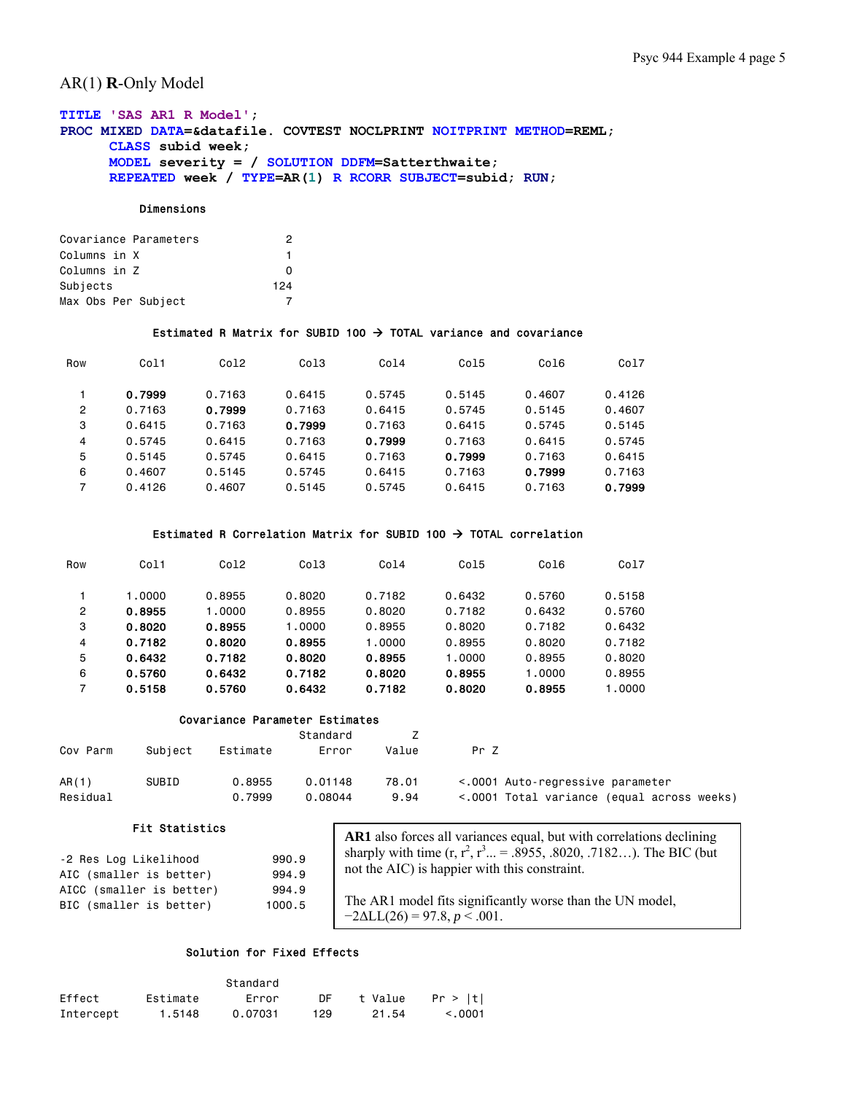# AR(1) **R**-Only Model

# **TITLE 'SAS AR1 R Model'; PROC MIXED DATA=&datafile. COVTEST NOCLPRINT NOITPRINT METHOD=REML; CLASS subid week; MODEL severity = / SOLUTION DDFM=Satterthwaite; REPEATED week / TYPE=AR(1) R RCORR SUBJECT=subid; RUN;**

## Dimensions

| Covariance Parameters | 2   |
|-----------------------|-----|
| Columns in X          | 1   |
| Columns in Z          | O   |
| Subjects              | 124 |
| Max Obs Per Subject   |     |

## Estimated R Matrix for SUBID 100  $\rightarrow$  TOTAL variance and covariance

| Row            | Col1   | Co12   | Col3   | Co14   | Co15   | Col6   | Col7   |
|----------------|--------|--------|--------|--------|--------|--------|--------|
|                |        |        |        |        |        |        |        |
|                | 0.7999 | 0.7163 | 0.6415 | 0.5745 | 0.5145 | 0.4607 | 0.4126 |
| $\overline{c}$ | 0.7163 | 0.7999 | 0.7163 | 0.6415 | 0.5745 | 0.5145 | 0.4607 |
| 3              | 0.6415 | 0.7163 | 0.7999 | 0.7163 | 0.6415 | 0.5745 | 0.5145 |
| 4              | 0.5745 | 0.6415 | 0.7163 | 0.7999 | 0.7163 | 0.6415 | 0.5745 |
| 5              | 0.5145 | 0.5745 | 0.6415 | 0.7163 | 0.7999 | 0.7163 | 0.6415 |
| 6              | 0.4607 | 0.5145 | 0.5745 | 0.6415 | 0.7163 | 0.7999 | 0.7163 |
| 7              | 0.4126 | 0.4607 | 0.5145 | 0.5745 | 0.6415 | 0.7163 | 0.7999 |

# Estimated R Correlation Matrix for SUBID 100  $\rightarrow$  TOTAL correlation

| Row | Col1   | Co12   | Co13   | Co14   | Co15   | Co16   | Col7   |
|-----|--------|--------|--------|--------|--------|--------|--------|
|     |        |        |        |        |        |        |        |
|     | 1.0000 | 0.8955 | 0.8020 | 0.7182 | 0.6432 | 0.5760 | 0.5158 |
| 2   | 0.8955 | 1.0000 | 0.8955 | 0.8020 | 0.7182 | 0.6432 | 0.5760 |
| 3   | 0.8020 | 0.8955 | 1.0000 | 0.8955 | 0.8020 | 0.7182 | 0.6432 |
| 4   | 0.7182 | 0.8020 | 0.8955 | 1.0000 | 0.8955 | 0.8020 | 0.7182 |
| 5   | 0.6432 | 0.7182 | 0.8020 | 0.8955 | 1,0000 | 0.8955 | 0.8020 |
| 6   | 0.5760 | 0.6432 | 0.7182 | 0.8020 | 0.8955 | 1.0000 | 0.8955 |
| 7   | 0.5158 | 0.5760 | 0.6432 | 0.7182 | 0.8020 | 0.8955 | 1.0000 |

## Covariance Parameter Estimates

| Cov Parm | Subject | Estimate | Standard<br>Error | Value | Pr Z                                       |
|----------|---------|----------|-------------------|-------|--------------------------------------------|
| AR(1)    | SUBID   | 0.8955   | 0.01148           | 78.01 | <.0001 Auto-regressive parameter           |
| Residual |         | 0.7999   | 0.08044           | 9.94  | <.0001 Total variance (equal across weeks) |

## Fit Statistics

| -2 Res Log Likelihood    | 990.9  |
|--------------------------|--------|
| AIC (smaller is better)  | 994.9  |
| AICC (smaller is better) | 994.9  |
| BIC (smaller is better)  | 1000.5 |

**AR1** also forces all variances equal, but with correlations declining sharply with time  $(r, r^2, r^3, ... = .8955, .8020, .7182...)$ . The BIC (but not the AIC) is happier with this constraint.

The AR1 model fits significantly worse than the UN model,  $-2\Delta L L(26) = 97.8, p < .001.$ 

# Solution for Fixed Effects

|           |          | Standard |           |         |         |
|-----------|----------|----------|-----------|---------|---------|
| Effect    | Estimate | Error    | <b>DE</b> | t Value | Pr >  t |
| Intercept | 1.5148   | 0.07031  | 129       | 21.54   | < 0.001 |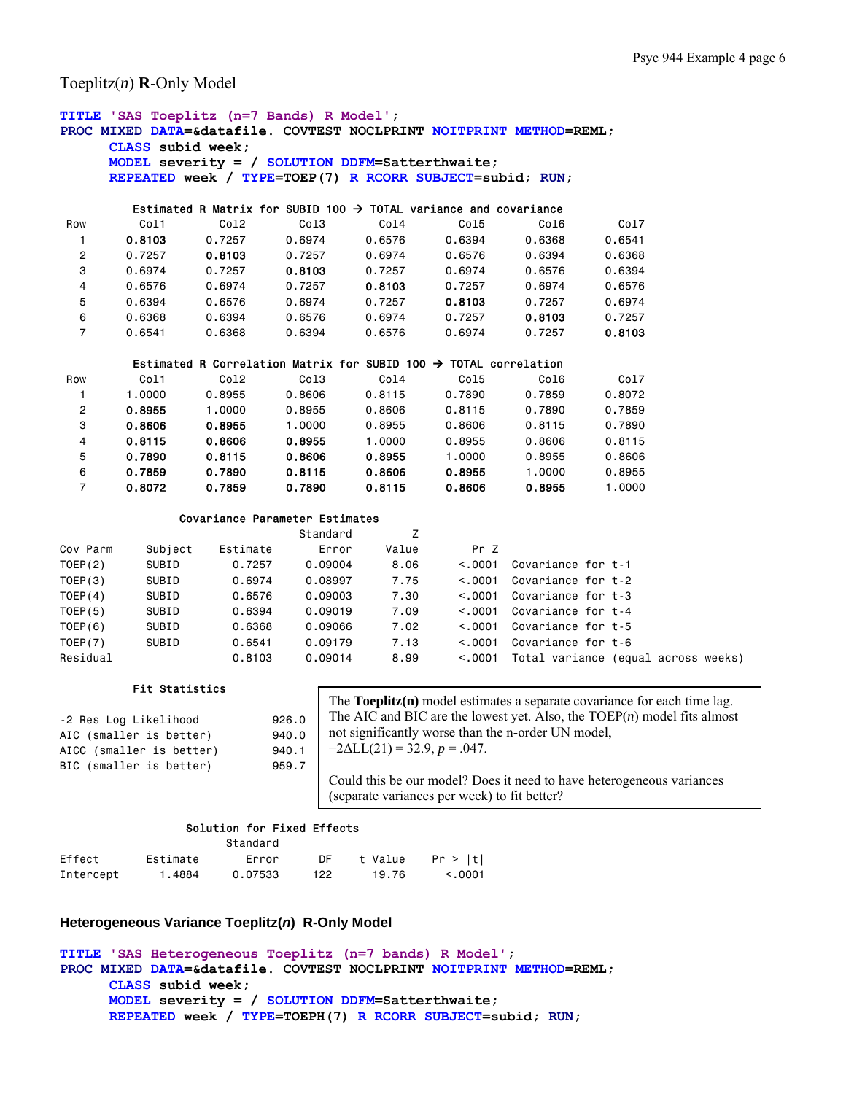Toeplitz(*n*) **R**-Only Model

```
TITLE 'SAS Toeplitz (n=7 Bands) R Model'; 
PROC MIXED DATA=&datafile. COVTEST NOCLPRINT NOITPRINT METHOD=REML; 
     CLASS subid week; 
     MODEL severity = / SOLUTION DDFM=Satterthwaite; 
     REPEATED week / TYPE=TOEP(7) R RCORR SUBJECT=subid; RUN; 
       Estimated R Matrix for SUBID 100 \rightarrow TOTAL variance and covariance
 Row Col1 Col2 Col3 Col4 Col5 Col6 Col7 
 1 0.8103 0.7257 0.6974 0.6576 0.6394 0.6368 0.6541 
 2 0.7257 0.8103 0.7257 0.6974 0.6576 0.6394 0.6368 
 3 0.6974 0.7257 0.8103 0.7257 0.6974 0.6576 0.6394 
 4 0.6576 0.6974 0.7257 0.8103 0.7257 0.6974 0.6576 
 5 0.6394 0.6576 0.6974 0.7257 0.8103 0.7257 0.6974 
 6 0.6368 0.6394 0.6576 0.6974 0.7257 0.8103 0.7257 
 7 0.6541 0.6368 0.6394 0.6576 0.6974 0.7257 0.8103 
       Estimated R Correlation Matrix for SUBID 100 \rightarrow TOTAL correlation
 Row Col1 Col2 Col3 Col4 Col5 Col6 Col7 
 1 1.0000 0.8955 0.8606 0.8115 0.7890 0.7859 0.8072 
 2 0.8955 1.0000 0.8955 0.8606 0.8115 0.7890 0.7859 
 3 0.8606 0.8955 1.0000 0.8955 0.8606 0.8115 0.7890 
 4 0.8115 0.8606 0.8955 1.0000 0.8955 0.8606 0.8115 
 5 0.7890 0.8115 0.8606 0.8955 1.0000 0.8955 0.8606 
 6 0.7859 0.7890 0.8115 0.8606 0.8955 1.0000 0.8955 
 7 0.8072 0.7859 0.7890 0.8115 0.8606 0.8955 1.0000 
             Covariance Parameter Estimates 
extended the Standard Standard Standard Z
Cov Parm Subject Estimate Error Value Pr Z 
TOEP(2) SUBID 0.7257 0.09004 8.06 <.0001 Covariance for t-1 
TOEP(3) SUBID 0.6974 0.08997 7.75 <.0001 Covariance for t-2 
        SUBID 0.6576 0.09003 7.30 <.0001 Covariance for t-3
TOEP(5) SUBID 0.6394 0.09019 7.09 <.0001 Covariance for t-4 
TOEP(6) SUBID 0.6368 0.09066 7.02 <.0001 Covariance for t-5 
TOEP(7) SUBID 0.6541 0.09179 7.13 <.0001 Covariance for t-6 
Residual 0.8103 0.09014 8.99 <.0001 Total variance (equal across weeks) 
        Fit Statistics 
-2 Res Log Likelihood 926.0 
                            The Toeplitz(n) model estimates a separate covariance for each time lag.
```
AIC (smaller is better) 940.0 AICC (smaller is better) 940.1 BIC (smaller is better) 959.7

The AIC and BIC are the lowest yet. Also, the TOEP(*n*) model fits almost not significantly worse than the n-order UN model,  $-2\Delta L L(21) = 32.9, p = .047.$ Could this be our model? Does it need to have heterogeneous variances (separate variances per week) to fit better?

# Solution for Fixed Effects

|           |          | Standard |     |         |         |
|-----------|----------|----------|-----|---------|---------|
| Effect    | Estimate | Error    | DE  | t Value | Pr >  t |
| Intercept | 1.4884   | 0.07533  | 122 | 19.76   | < 0.001 |

# **Heterogeneous Variance Toeplitz(***n***) R-Only Model**

```
TITLE 'SAS Heterogeneous Toeplitz (n=7 bands) R Model'; 
PROC MIXED DATA=&datafile. COVTEST NOCLPRINT NOITPRINT METHOD=REML; 
      CLASS subid week; 
      MODEL severity = / SOLUTION DDFM=Satterthwaite; 
      REPEATED week / TYPE=TOEPH(7) R RCORR SUBJECT=subid; RUN;
```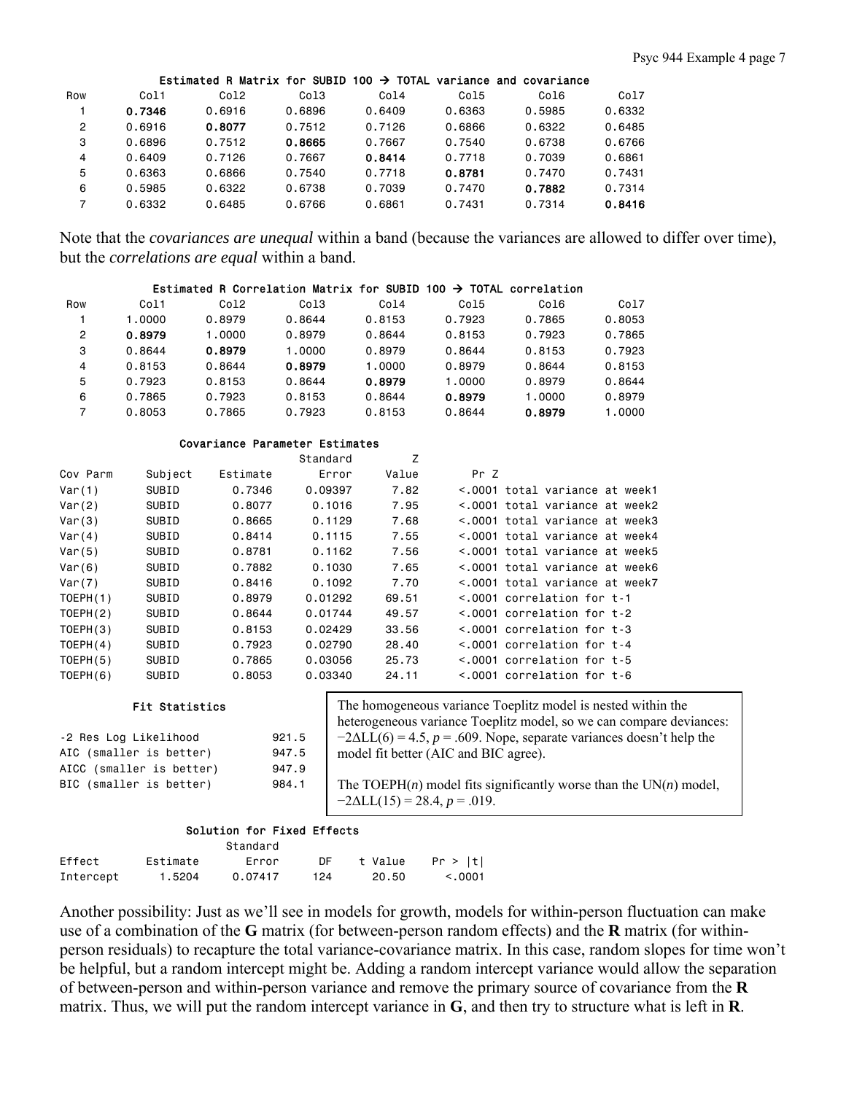|                |        |                  |                  |        |        | Estimated R Matrix for SUBID 100 $\rightarrow$ TOTAL variance and covariance |        |
|----------------|--------|------------------|------------------|--------|--------|------------------------------------------------------------------------------|--------|
| Row            | Col1   | Col <sub>2</sub> | Col <sub>3</sub> | Col4   | Col5   | Col6                                                                         | Co17   |
|                | 0.7346 | 0.6916           | 0.6896           | 0.6409 | 0.6363 | 0.5985                                                                       | 0.6332 |
| $\overline{2}$ | 0.6916 | 0.8077           | 0.7512           | 0.7126 | 0.6866 | 0.6322                                                                       | 0.6485 |
| 3              | 0.6896 | 0.7512           | 0.8665           | 0.7667 | 0.7540 | 0.6738                                                                       | 0.6766 |
| 4              | 0.6409 | 0.7126           | 0.7667           | 0.8414 | 0.7718 | 0.7039                                                                       | 0.6861 |
| 5              | 0.6363 | 0.6866           | 0.7540           | 0.7718 | 0.8781 | 0.7470                                                                       | 0.7431 |
| 6              | 0.5985 | 0.6322           | 0.6738           | 0.7039 | 0.7470 | 0.7882                                                                       | 0.7314 |
| 7              | 0.6332 | 0.6485           | 0.6766           | 0.6861 | 0.7431 | 0.7314                                                                       | 0.8416 |

Note that the *covariances are unequal* within a band (because the variances are allowed to differ over time), but the *correlations are equal* within a band.

# Estimated R Correlation Matrix for SUBID 100  $\rightarrow$  TOTAL correlation

| Row            | Col1   | Co12   | Col3   | Co14   | Col5   | Col6   | Co17   |
|----------------|--------|--------|--------|--------|--------|--------|--------|
|                | 1.0000 | 0.8979 | 0.8644 | 0.8153 | 0.7923 | 0.7865 | 0.8053 |
| $\overline{2}$ | 0.8979 | 1.0000 | 0.8979 | 0.8644 | 0.8153 | 0.7923 | 0.7865 |
| 3              | 0.8644 | 0.8979 | 1.0000 | 0.8979 | 0.8644 | 0.8153 | 0.7923 |
| 4              | 0.8153 | 0.8644 | 0.8979 | 1.0000 | 0.8979 | 0.8644 | 0.8153 |
| 5              | 0.7923 | 0.8153 | 0.8644 | 0.8979 | 1.0000 | 0.8979 | 0.8644 |
| 6              | 0.7865 | 0.7923 | 0.8153 | 0.8644 | 0.8979 | 1.0000 | 0.8979 |
|                | 0.8053 | 0.7865 | 0.7923 | 0.8153 | 0.8644 | 0.8979 | .0000  |

#### Covariance Parameter Estimates

|          |         |          | Standard | Z     |                                  |
|----------|---------|----------|----------|-------|----------------------------------|
| Cov Parm | Subject | Estimate | Error    | Value | Pr Z                             |
| Var(1)   | SUBID   | 0.7346   | 0.09397  | 7.82  | <.0001 total variance at week1   |
| Var(2)   | SUBID   | 0.8077   | 0.1016   | 7.95  | <.0001 total variance at week2   |
| Var(3)   | SUBID   | 0.8665   | 0.1129   | 7.68  | <.0001 total variance at week3   |
| Var(4)   | SUBID   | 0.8414   | 0.1115   | 7.55  | <.0001 total variance at week4   |
| Var(5)   | SUBID   | 0.8781   | 0.1162   | 7.56  | <.0001 total variance at week5   |
| Var(6)   | SUBID   | 0.7882   | 0.1030   | 7.65  | <.0001 total variance at week6   |
| Var(7)   | SUBID   | 0.8416   | 0.1092   | 7.70  | <.0001 total variance at week7   |
| TOEPH(1) | SUBID   | 0.8979   | 0.01292  | 69.51 | $\leq$ .0001 correlation for t-1 |
| TOEPH(2) | SUBID   | 0.8644   | 0.01744  | 49.57 | $\leq$ .0001 correlation for t-2 |
| TOEPH(3) | SUBID   | 0.8153   | 0.02429  | 33.56 | $\leq$ .0001 correlation for t-3 |
| TOEPH(4) | SUBID   | 0.7923   | 0.02790  | 28.40 | $\leq$ .0001 correlation for t-4 |
| TOEPH(5) | SUBID   | 0.7865   | 0.03056  | 25.73 | $\leq$ .0001 correlation for t-5 |
| TOEPH(6) | SUBID   | 0.8053   | 0.03340  | 24.11 | $\leq$ .0001 correlation for t-6 |

## Fit Statistics

| -2 Res Log Likelihood    | 921.5 |
|--------------------------|-------|
| AIC (smaller is better)  | 947.5 |
| AICC (smaller is better) | 947.9 |
| BIC (smaller is better)  | 984.1 |

The homogeneous variance Toeplitz model is nested within the heterogeneous variance Toeplitz model, so we can compare deviances:  $-2\Delta LL(6) = 4.5$ ,  $p = .609$ . Nope, separate variances doesn't help the model fit better (AIC and BIC agree).

The TOEPH $(n)$  model fits significantly worse than the UN $(n)$  model,  $-2\Delta L L(15) = 28.4, p = .019.$ 

# Solution for Fixed Effects

|           |          | Standard |     |         |         |
|-----------|----------|----------|-----|---------|---------|
| Effect    | Estimate | Error    | DE  | t Value | Pr >  t |
| Intercept | 1.5204   | 0.07417  | 124 | 20.50   | < 0.001 |

Another possibility: Just as we'll see in models for growth, models for within-person fluctuation can make use of a combination of the **G** matrix (for between-person random effects) and the **R** matrix (for withinperson residuals) to recapture the total variance-covariance matrix. In this case, random slopes for time won't be helpful, but a random intercept might be. Adding a random intercept variance would allow the separation of between-person and within-person variance and remove the primary source of covariance from the **R** matrix. Thus, we will put the random intercept variance in **G**, and then try to structure what is left in **R**.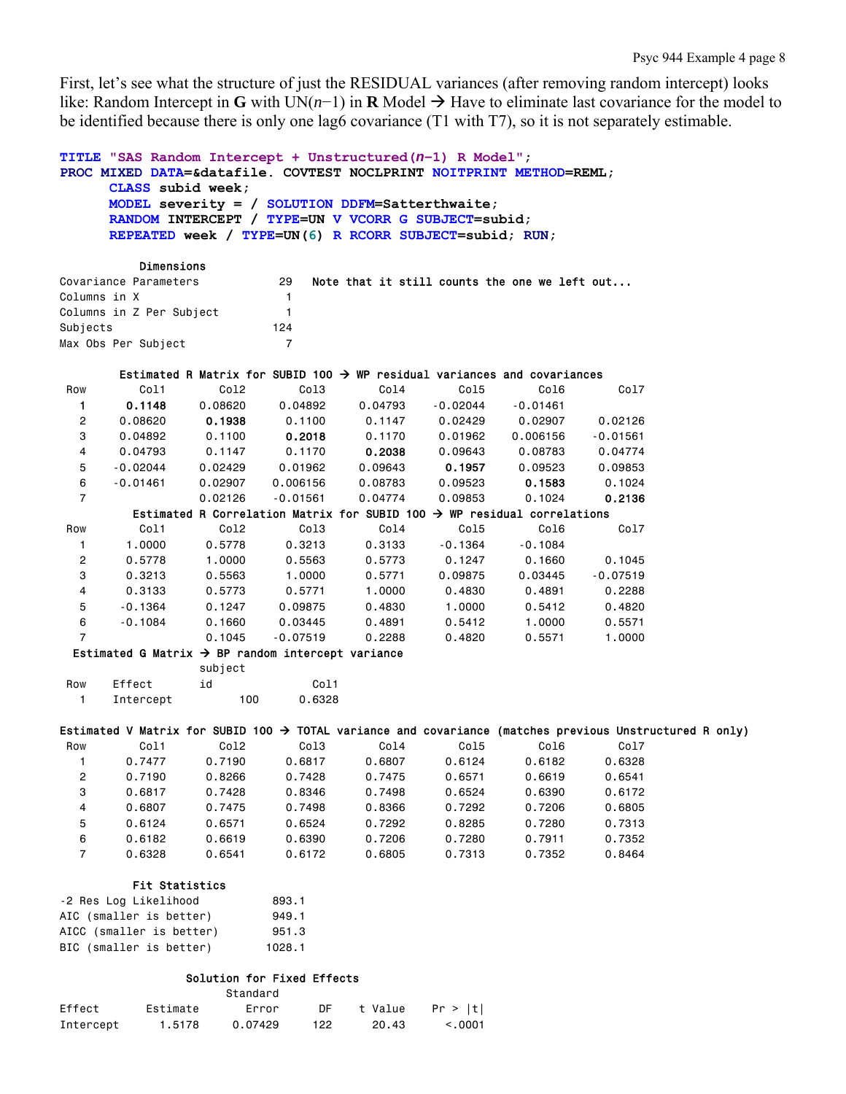First, let's see what the structure of just the RESIDUAL variances (after removing random intercept) looks like: Random Intercept in **G** with UN(*n*−1) in **R** Model → Have to eliminate last covariance for the model to be identified because there is only one lag6 covariance (T1 with T7), so it is not separately estimable.

```
TITLE "SAS Random Intercept + Unstructured(n−1) R Model"; 
PROC MIXED DATA=&datafile. COVTEST NOCLPRINT NOITPRINT METHOD=REML; 
      CLASS subid week; 
      MODEL severity = / SOLUTION DDFM=Satterthwaite; 
      RANDOM INTERCEPT / TYPE=UN V VCORR G SUBJECT=subid; 
      REPEATED week / TYPE=UN(6) R RCORR SUBJECT=subid; RUN;
```

| <b>ULINGIIS LUIS</b>     |     |  |  |  |  |                                               |
|--------------------------|-----|--|--|--|--|-----------------------------------------------|
| Covariance Parameters    | 29  |  |  |  |  |                                               |
| Columns in X             |     |  |  |  |  |                                               |
| Columns in Z Per Subject |     |  |  |  |  |                                               |
|                          | 124 |  |  |  |  |                                               |
| Max Obs Per Subject      |     |  |  |  |  |                                               |
|                          |     |  |  |  |  | Note that it still counts the one we left out |

|                |            |                                                               |            | Estimated R Matrix for SUBID 100 $\rightarrow$ WP residual variances and covariances |            |            |            |
|----------------|------------|---------------------------------------------------------------|------------|--------------------------------------------------------------------------------------|------------|------------|------------|
| Row            | Col1       | Col2                                                          | Col3       | Col4                                                                                 | Col5       | Col6       | Co17       |
|                | 0.1148     | 0.08620                                                       | 0.04892    | 0.04793                                                                              | $-0.02044$ | $-0.01461$ |            |
| $\overline{2}$ | 0.08620    | 0.1938                                                        | 0.1100     | 0.1147                                                                               | 0.02429    | 0.02907    | 0.02126    |
| 3              | 0.04892    | 0.1100                                                        | 0.2018     | 0.1170                                                                               | 0.01962    | 0.006156   | $-0.01561$ |
| 4              | 0.04793    | 0.1147                                                        | 0.1170     | 0.2038                                                                               | 0.09643    | 0.08783    | 0.04774    |
| 5              | $-0.02044$ | 0.02429                                                       | 0.01962    | 0.09643                                                                              | 0.1957     | 0.09523    | 0.09853    |
| 6              | $-0.01461$ | 0.02907                                                       | 0.006156   | 0.08783                                                                              | 0.09523    | 0.1583     | 0.1024     |
| $\overline{7}$ |            | 0.02126                                                       | $-0.01561$ | 0.04774                                                                              | 0.09853    | 0.1024     | 0.2136     |
|                |            |                                                               |            | Estimated R Correlation Matrix for SUBID 100 $\rightarrow$ WP residual correlations  |            |            |            |
| Row            | Col1       | Col <sub>2</sub>                                              | Col3       | Col4                                                                                 | Col5       | Col6       | Col7       |
| 1              | 1,0000     | 0.5778                                                        | 0.3213     | 0.3133                                                                               | $-0.1364$  | $-0.1084$  |            |
| $\overline{2}$ | 0.5778     | 1,0000                                                        | 0.5563     | 0.5773                                                                               | 0.1247     | 0.1660     | 0.1045     |
| 3              | 0.3213     | 0.5563                                                        | 1,0000     | 0.5771                                                                               | 0.09875    | 0.03445    | $-0.07519$ |
| 4              | 0.3133     | 0.5773                                                        | 0.5771     | 1,0000                                                                               | 0.4830     | 0.4891     | 0.2288     |
| 5              | $-0.1364$  | 0.1247                                                        | 0.09875    | 0.4830                                                                               | 1.0000     | 0.5412     | 0.4820     |
| 6              | $-0.1084$  | 0.1660                                                        | 0.03445    | 0.4891                                                                               | 0.5412     | 1,0000     | 0.5571     |
| $\overline{7}$ |            | 0.1045                                                        | $-0.07519$ | 0.2288                                                                               | 0.4820     | 0.5571     | 1,0000     |
|                |            | Estimated G Matrix $\rightarrow$ BP random intercept variance |            |                                                                                      |            |            |            |
|                |            | subject                                                       |            |                                                                                      |            |            |            |

|     |           | $0.40$ $0.00$ |                   |
|-----|-----------|---------------|-------------------|
| Row | Fffect    | i d           | C <sub>0</sub> 11 |
|     | Intercept | 100           | 0.6328            |

Dimensions

|     |        |        |        |        |        |        |       | Estimated V Matrix for SUBID 100 $\rightarrow$ TOTAL variance and covariance (matches previous Unstructured R only) |  |
|-----|--------|--------|--------|--------|--------|--------|-------|---------------------------------------------------------------------------------------------------------------------|--|
| Row | Col1   | Col2   | Col3   | Col4   | Col5   |        | Co 16 | Col7                                                                                                                |  |
|     | 0.7477 | 0.7190 | 0.6817 | 0.6807 | 0.6124 | 0.6182 |       | 0.6328                                                                                                              |  |

|   | 0.7190 | 0.8266 | 0.7428 | 0.7475 | 0.6571 | 0.6619 | 0.6541 |
|---|--------|--------|--------|--------|--------|--------|--------|
|   | 0.6817 | 0.7428 | 0.8346 | 0.7498 | 0.6524 | 0.6390 | 0.6172 |
| 4 | 0.6807 | 0.7475 | 0.7498 | 0.8366 | 0.7292 | 0.7206 | 0.6805 |
| 5 | 0.6124 | 0.6571 | 0.6524 | 0.7292 | 0.8285 | 0.7280 | 0.7313 |
| 6 | 0.6182 | 0.6619 | 0.6390 | 0.7206 | 0.7280 | 0.7911 | 0.7352 |
|   | 0.6328 | 0.6541 | 0.6172 | 0.6805 | 0.7313 | 0.7352 | 0.8464 |

## Fit Statistics

| -2 Res Log Likelihood    | 893.1  |
|--------------------------|--------|
| AIC (smaller is better)  | 949.1  |
| AICC (smaller is better) | 951.3  |
| BIC (smaller is better)  | 1028.1 |

# Solution for Fixed Effects

|           |          | Standard |     |         |         |
|-----------|----------|----------|-----|---------|---------|
| Effect    | Estimate | Error    | DF  | t Value | Pr >  t |
| Intercept | 1.5178   | 0.07429  | 122 | 20.43   | < 0.001 |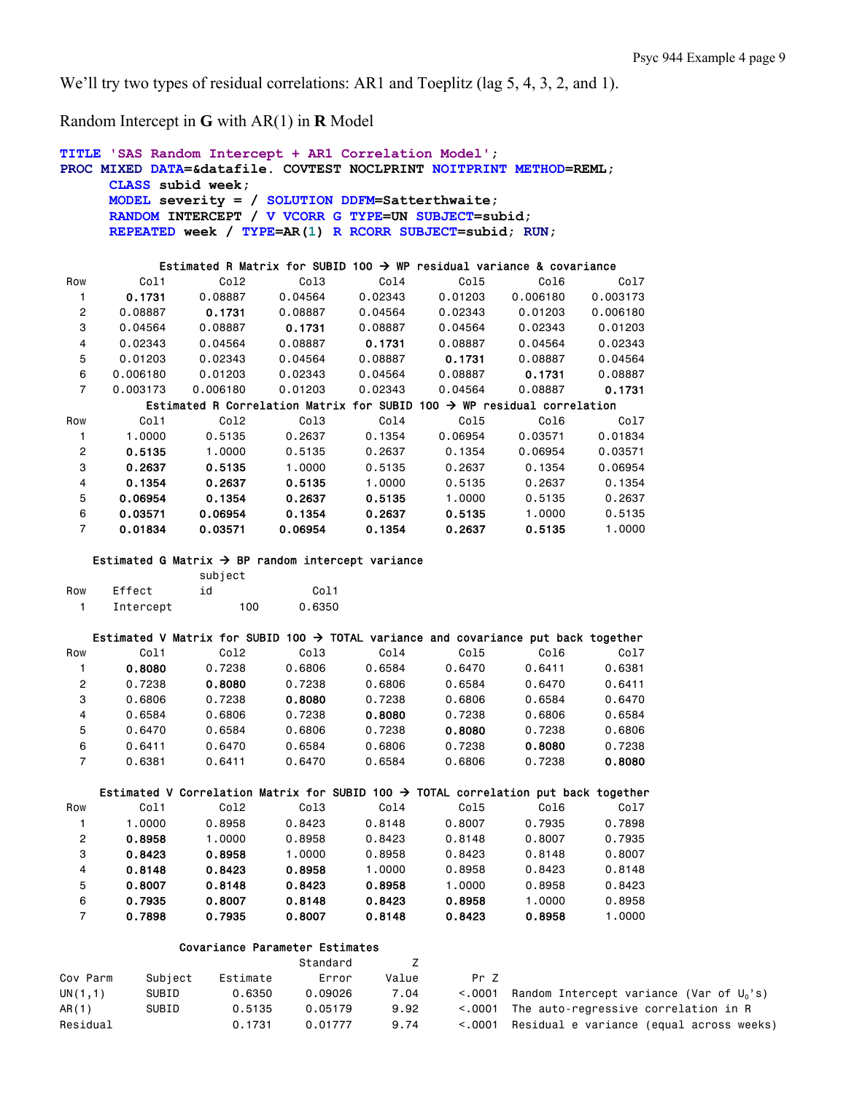We'll try two types of residual correlations: AR1 and Toeplitz (lag 5, 4, 3, 2, and 1).

Random Intercept in **G** with AR(1) in **R** Model

```
TITLE 'SAS Random Intercept + AR1 Correlation Model'; 
PROC MIXED DATA=&datafile. COVTEST NOCLPRINT NOITPRINT METHOD=REML; 
     CLASS subid week; 
     MODEL severity = / SOLUTION DDFM=Satterthwaite; 
     RANDOM INTERCEPT / V VCORR G TYPE=UN SUBJECT=subid; 
     REPEATED week / TYPE=AR(1) R RCORR SUBJECT=subid; RUN; 
          Estimated R Matrix for SUBID 100 \rightarrow WP residual variance & covariance
 Row Col1 Col2 Col3 Col4 Col5 Col6 Col7 
 1 0.1731 0.08887 0.04564 0.02343 0.01203 0.006180 0.003173 
 2 0.08887 0.1731 0.08887 0.04564 0.02343 0.01203 0.006180 
 3 0.04564 0.08887 0.1731 0.08887 0.04564 0.02343 0.01203 
 4 0.02343 0.04564 0.08887 0.1731 0.08887 0.04564 0.02343 
 5 0.01203 0.02343 0.04564 0.08887 0.1731 0.08887 0.04564 
 6 0.006180 0.01203 0.02343 0.04564 0.08887 0.1731 0.08887 
 7 0.003173 0.006180 0.01203 0.02343 0.04564 0.08887 0.1731
        Estimated R Correlation Matrix for SUBID 100 \rightarrow WP residual correlation
 Row Col1 Col2 Col3 Col4 Col5 Col6 Col7 
 1 1.0000 0.5135 0.2637 0.1354 0.06954 0.03571 0.01834 
 2 0.5135 1.0000 0.5135 0.2637 0.1354 0.06954 0.03571 
 3 0.2637 0.5135 1.0000 0.5135 0.2637 0.1354 0.06954 
 4 0.1354 0.2637 0.5135 1.0000 0.5135 0.2637 0.1354 
 5 0.06954 0.1354 0.2637 0.5135 1.0000 0.5135 0.2637 
 6 0.03571 0.06954 0.1354 0.2637 0.5135 1.0000 0.5135 
 7 0.01834 0.03571 0.06954 0.1354 0.2637 0.5135 1.0000 
   Estimated G Matrix \rightarrow BP random intercept variance
               subject 
Row Effect id Col1
   1 Intercept 100 0.6350 
   Estimated V Matrix for SUBID 100 \rightarrow TOTAL variance and covariance put back together
 Row Col1 Col2 Col3 Col4 Col5 Col6 Col7 
 1 0.8080 0.7238 0.6806 0.6584 0.6470 0.6411 0.6381 
 2 0.7238 0.8080 0.7238 0.6806 0.6584 0.6470 0.6411 
 3 0.6806 0.7238 0.8080 0.7238 0.6806 0.6584 0.6470 
 4 0.6584 0.6806 0.7238 0.8080 0.7238 0.6806 0.6584 
 5 0.6470 0.6584 0.6806 0.7238 0.8080 0.7238 0.6806 
 6 0.6411 0.6470 0.6584 0.6806 0.7238 0.8080 0.7238 
 7 0.6381 0.6411 0.6470 0.6584 0.6806 0.7238 0.8080
    Estimated V Correlation Matrix for SUBID 100 \rightarrow TOTAL correlation put back together
 Row Col1 Col2 Col3 Col4 Col5 Col6 Col7 
 1 1.0000 0.8958 0.8423 0.8148 0.8007 0.7935 0.7898 
 2 0.8958 1.0000 0.8958 0.8423 0.8148 0.8007 0.7935 
 3 0.8423 0.8958 1.0000 0.8958 0.8423 0.8148 0.8007 
 4 0.8148 0.8423 0.8958 1.0000 0.8958 0.8423 0.8148 
 5 0.8007 0.8148 0.8423 0.8958 1.0000 0.8958 0.8423 
 6 0.7935 0.8007 0.8148 0.8423 0.8958 1.0000 0.8958 
 7 0.7898 0.7935 0.8007 0.8148 0.8423 0.8958 1.0000 
             Covariance Parameter Estimates 
example and the standard control of \mathsf ZCov Parm Subject Estimate Error Value Pr Z 
UN(1,1) SUBID 0.6350 0.09026 7.04 <.0001 Random Intercept variance (Var of U<sub>0</sub>'s)
AR(1) SUBID 0.5135 0.05179 9.92 <.0001 The auto-regressive correlation in R
```
Residual 6.1731 0.01777 9.74 <.0001 Residual e variance (equal across weeks)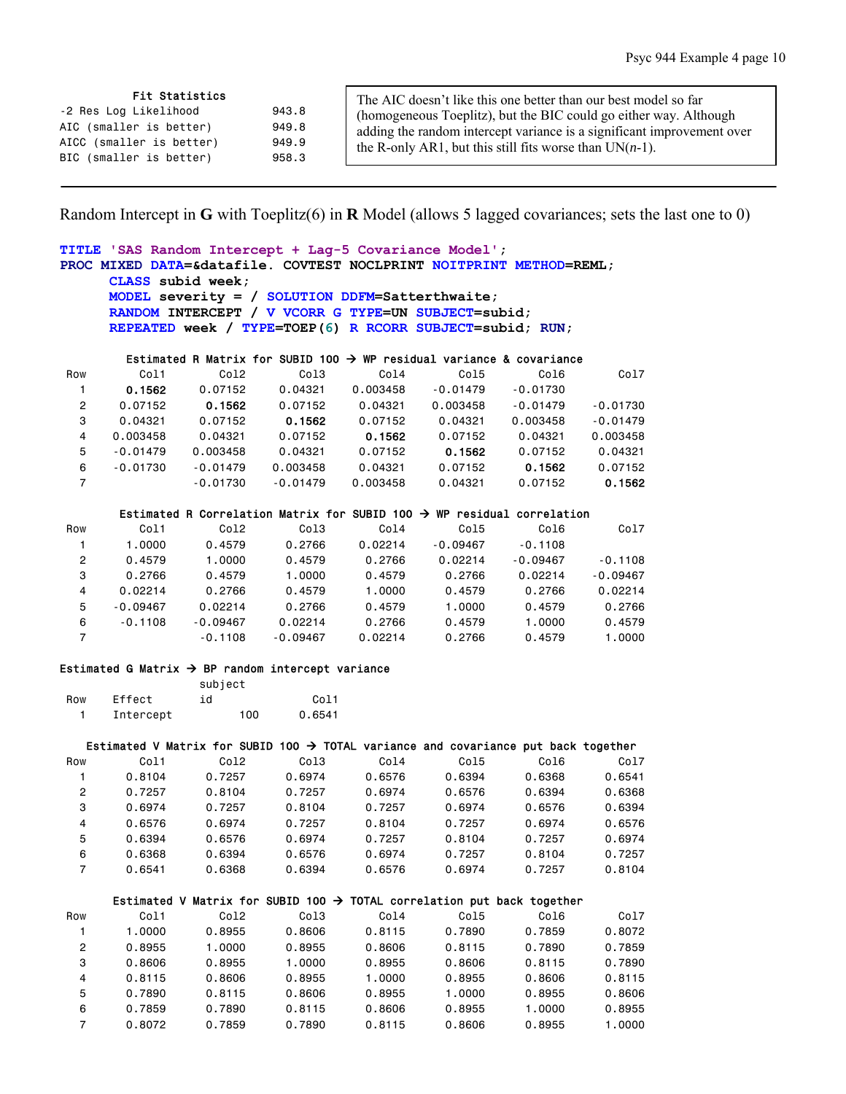#### Fit Statistics

| Fit Statistics           |       | The AIC doesn't like this one better than our best model so far        |
|--------------------------|-------|------------------------------------------------------------------------|
| -2 Res Log Likelihood    | 943.8 | (homogeneous Toeplitz), but the BIC could go either way. Although      |
| AIC (smaller is better)  | 949.8 | adding the random intercept variance is a significant improvement over |
| AICC (smaller is better) | 949.9 | the R-only AR1, but this still fits worse than $UN(n-1)$ .             |
| BIC (smaller is better)  | 958.3 |                                                                        |

Random Intercept in **G** with Toeplitz(6) in **R** Model (allows 5 lagged covariances; sets the last one to 0)

# **TITLE 'SAS Random Intercept + Lag-5 Covariance Model'; PROC MIXED DATA=&datafile. COVTEST NOCLPRINT NOITPRINT METHOD=REML; CLASS subid week; MODEL severity = / SOLUTION DDFM=Satterthwaite; RANDOM INTERCEPT / V VCORR G TYPE=UN SUBJECT=subid; REPEATED week / TYPE=TOEP(6) R RCORR SUBJECT=subid; RUN;**  Estimated R Matrix for SUBID 100  $\rightarrow$  WP residual variance & covariance Row Col1 Col2 Col3 Col4 Col5 Col6 Col7 1 0.1562 0.07152 0.04321 0.003458 -0.01479 -0.01730 2 0.07152 0.1562 0.07152 0.04321 0.003458 -0.01479 -0.01730 3 0.04321 0.07152 0.1562 0.07152 0.04321 0.003458 -0.01479 4 0.003458 0.04321 0.07152 0.1562 0.07152 0.04321 0.003458 5 -0.01479 0.003458 0.04321 0.07152 0.1562 0.07152 0.04321 6 -0.01730 -0.01479 0.003458 0.04321 0.07152 0.1562 0.07152

#### Estimated R Correlation Matrix for SUBID 100  $\rightarrow$  WP residual correlation

7 -0.01730 -0.01479 0.003458 0.04321 0.07152 0.1562

| Row | Col1       | Col <sub>2</sub> | Col3       | Col4    | Col5       | Col6       | Col7       |
|-----|------------|------------------|------------|---------|------------|------------|------------|
|     | 1.0000     | 0.4579           | 0.2766     | 0.02214 | $-0.09467$ | $-0.1108$  |            |
| 2   | 0.4579     | 1.0000           | 0.4579     | 0.2766  | 0.02214    | $-0.09467$ | $-0.1108$  |
| 3   | 0.2766     | 0.4579           | 1.0000     | 0.4579  | 0.2766     | 0.02214    | $-0.09467$ |
| 4   | 0.02214    | 0.2766           | 0.4579     | 1.0000  | 0.4579     | 0.2766     | 0.02214    |
| 5   | $-0.09467$ | 0.02214          | 0.2766     | 0.4579  | 1.0000     | 0.4579     | 0.2766     |
| 6   | $-0.1108$  | $-0.09467$       | 0.02214    | 0.2766  | 0.4579     | 1.0000     | 0.4579     |
|     |            | $-0.1108$        | $-0.09467$ | 0.02214 | 0.2766     | 0.4579     | 1.0000     |

### Estimated G Matrix  $\rightarrow$  BP random intercept variance

|     |           | subject |                   |
|-----|-----------|---------|-------------------|
| Row | Effect    | id      | C <sub>0</sub> 11 |
|     | Intercept | 100     | 0.6541            |

#### Estimated V Matrix for SUBID 100  $\rightarrow$  TOTAL variance and covariance put back together

| Row            | Col1   | Co12   | Co13   | Co14   | Col5   | Co16   | Co17   |
|----------------|--------|--------|--------|--------|--------|--------|--------|
|                | 0.8104 | 0.7257 | 0.6974 | 0.6576 | 0.6394 | 0.6368 | 0.6541 |
| $\overline{2}$ | 0.7257 | 0.8104 | 0.7257 | 0.6974 | 0.6576 | 0.6394 | 0.6368 |
| 3              | 0.6974 | 0.7257 | 0.8104 | 0.7257 | 0.6974 | 0.6576 | 0.6394 |
| 4              | 0.6576 | 0.6974 | 0.7257 | 0.8104 | 0.7257 | 0.6974 | 0.6576 |
| 5              | 0.6394 | 0.6576 | 0.6974 | 0.7257 | 0.8104 | 0.7257 | 0.6974 |
| 6              | 0.6368 | 0.6394 | 0.6576 | 0.6974 | 0.7257 | 0.8104 | 0.7257 |
|                | 0.6541 | 0.6368 | 0.6394 | 0.6576 | 0.6974 | 0.7257 | 0.8104 |

#### Estimated V Matrix for SUBID 100  $\rightarrow$  TOTAL correlation put back together

| Row            | Col1   | Co12   | Co13   | Co14   | Col5   | Co16   | Co17   |
|----------------|--------|--------|--------|--------|--------|--------|--------|
|                | 1.0000 | 0.8955 | 0.8606 | 0.8115 | 0.7890 | 0.7859 | 0.8072 |
| $\overline{2}$ | 0.8955 | 1.0000 | 0.8955 | 0.8606 | 0.8115 | 0.7890 | 0.7859 |
| 3              | 0.8606 | 0.8955 | 1.0000 | 0.8955 | 0.8606 | 0.8115 | 0.7890 |
| 4              | 0.8115 | 0.8606 | 0.8955 | 1.0000 | 0.8955 | 0.8606 | 0.8115 |
| 5              | 0.7890 | 0.8115 | 0.8606 | 0.8955 | 1.0000 | 0.8955 | 0.8606 |
| 6              | 0.7859 | 0.7890 | 0.8115 | 0.8606 | 0.8955 | 1.0000 | 0.8955 |
|                | 0.8072 | 0.7859 | 0.7890 | 0.8115 | 0.8606 | 0.8955 | 1,0000 |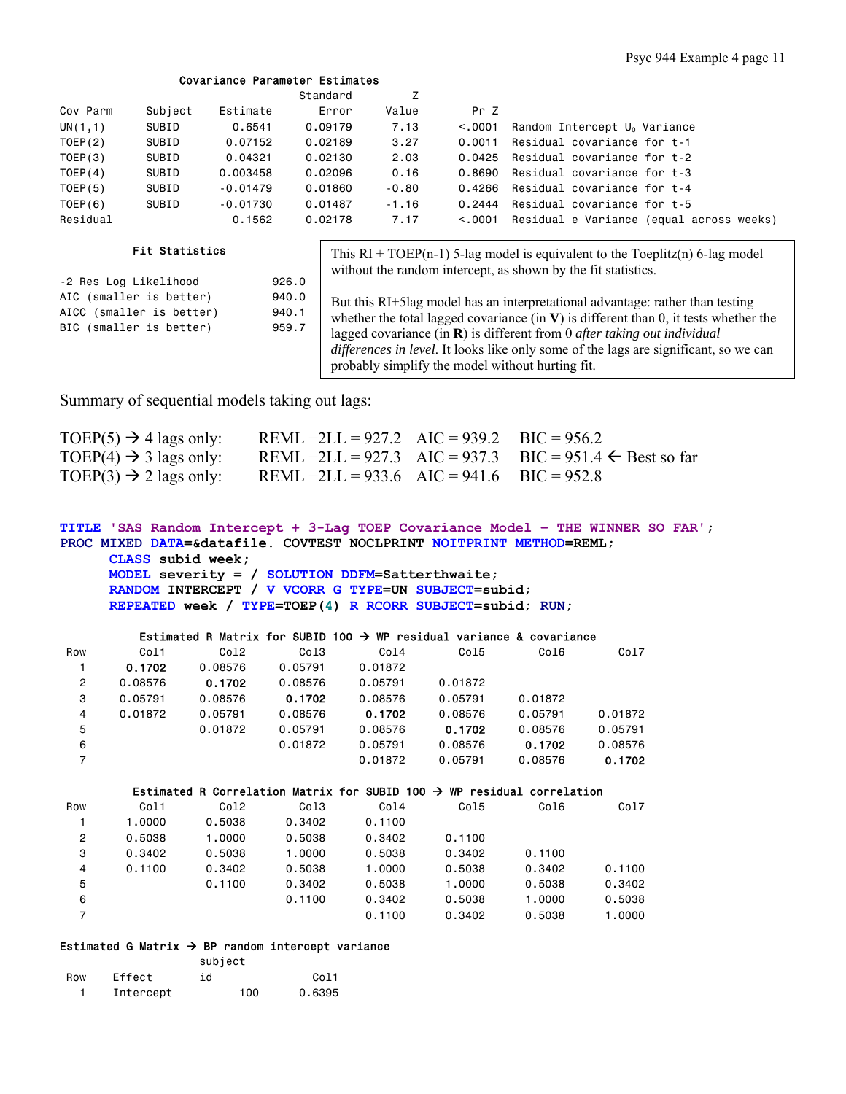## Covariance Parameter Estimates

|                                                                                                           |         |            | Standard | Z       |          |                                                                                                                                                                                                                                                                                                                                                                         |
|-----------------------------------------------------------------------------------------------------------|---------|------------|----------|---------|----------|-------------------------------------------------------------------------------------------------------------------------------------------------------------------------------------------------------------------------------------------------------------------------------------------------------------------------------------------------------------------------|
| Cov Parm                                                                                                  | Subject | Estimate   | Error    | Value   | Pr Z     |                                                                                                                                                                                                                                                                                                                                                                         |
| UN(1,1)                                                                                                   | SUBID   | 0.6541     | 0.09179  | 7.13    | < 0.0001 | Random Intercept U <sub>0</sub> Variance                                                                                                                                                                                                                                                                                                                                |
| TOEP(2)                                                                                                   | SUBID   | 0.07152    | 0.02189  | 3.27    | 0.0011   | Residual covariance for t-1                                                                                                                                                                                                                                                                                                                                             |
| TOEP(3)                                                                                                   | SUBID   | 0.04321    | 0.02130  | 2.03    | 0.0425   | Residual covariance for t-2                                                                                                                                                                                                                                                                                                                                             |
| TOEP(4)                                                                                                   | SUBID   | 0.003458   | 0.02096  | 0.16    | 0.8690   | Residual covariance for t-3                                                                                                                                                                                                                                                                                                                                             |
| TOEP(5)                                                                                                   | SUBID   | $-0.01479$ | 0.01860  | $-0.80$ | 0.4266   | Residual covariance for t-4                                                                                                                                                                                                                                                                                                                                             |
| TOEP(6)                                                                                                   | SUBID   | $-0.01730$ | 0.01487  | $-1.16$ | 0.2444   | Residual covariance for t-5                                                                                                                                                                                                                                                                                                                                             |
| Residual                                                                                                  |         | 0.1562     | 0.02178  | 7.17    | < 0.0001 | Residual e Variance (equal across weeks)                                                                                                                                                                                                                                                                                                                                |
| <b>Fit Statistics</b>                                                                                     |         |            |          |         |          | This $RI + TOEP(n-1)$ 5-lag model is equivalent to the Toeplitz(n) 6-lag model<br>without the random intercept, as shown by the fit statistics.                                                                                                                                                                                                                         |
| -2 Res Log Likelihood                                                                                     |         |            | 926.0    |         |          |                                                                                                                                                                                                                                                                                                                                                                         |
| AIC (smaller is better)<br>940.0<br>AICC (smaller is better)<br>940.1<br>BIC (smaller is better)<br>959.7 |         |            |          |         |          | But this RI+5lag model has an interpretational advantage: rather than testing<br>whether the total lagged covariance (in $\bf{V}$ ) is different than 0, it tests whether the<br>lagged covariance (in $\bf{R}$ ) is different from 0 <i>after taking out individual</i><br><i>differences in level.</i> It looks like only some of the lags are significant, so we can |

probably simplify the model without hurting fit.

Summary of sequential models taking out lags:

| TOEP(5) $\rightarrow$ 4 lags only: | REML $-2LL = 927.2$ AIC = 939.2 BIC = 956.2 |                                                                      |
|------------------------------------|---------------------------------------------|----------------------------------------------------------------------|
| TOEP(4) $\rightarrow$ 3 lags only: |                                             | REML $-2LL = 927.3$ AIC = 937.3 BIC = 951.4 $\leftarrow$ Best so far |
| TOEP(3) $\rightarrow$ 2 lags only: | REML $-2LL = 933.6$ AIC = 941.6 BIC = 952.8 |                                                                      |

```
TITLE 'SAS Random Intercept + 3-Lag TOEP Covariance Model – THE WINNER SO FAR'; 
PROC MIXED DATA=&datafile. COVTEST NOCLPRINT NOITPRINT METHOD=REML; 
      CLASS subid week;
```
**MODEL severity = / SOLUTION DDFM=Satterthwaite; RANDOM INTERCEPT / V VCORR G TYPE=UN SUBJECT=subid; REPEATED week / TYPE=TOEP(4) R RCORR SUBJECT=subid; RUN;** 

# Estimated R Matrix for SUBID 100  $\rightarrow$  WP residual variance & covariance

| Row            | Col1    | Col2    | Col <sub>3</sub>                                                                   | Col4    | Co15    | Col6    | Col7    |
|----------------|---------|---------|------------------------------------------------------------------------------------|---------|---------|---------|---------|
|                | 0.1702  | 0.08576 | 0.05791                                                                            | 0.01872 |         |         |         |
| $\overline{2}$ | 0.08576 | 0.1702  | 0.08576                                                                            | 0.05791 | 0.01872 |         |         |
| 3              | 0.05791 | 0.08576 | 0.1702                                                                             | 0.08576 | 0.05791 | 0.01872 |         |
| 4              | 0.01872 | 0.05791 | 0.08576                                                                            | 0.1702  | 0.08576 | 0.05791 | 0.01872 |
| 5              |         | 0.01872 | 0.05791                                                                            | 0.08576 | 0.1702  | 0.08576 | 0.05791 |
| 6              |         |         | 0.01872                                                                            | 0.05791 | 0.08576 | 0.1702  | 0.08576 |
| $\overline{7}$ |         |         |                                                                                    | 0.01872 | 0.05791 | 0.08576 | 0.1702  |
|                |         |         |                                                                                    |         |         |         |         |
|                |         |         |                                                                                    |         |         |         |         |
|                |         |         | Estimated R Correlation Matrix for SUBID 100 $\rightarrow$ WP residual correlation |         |         |         |         |
| Row            | Col1    | Col2    | Col <sub>3</sub>                                                                   | Co14    | Col5    | Col6    | Col7    |
|                | 1,0000  | 0.5038  | 0.3402                                                                             | 0.1100  |         |         |         |
| $\overline{2}$ | 0.5038  | 1,0000  | 0.5038                                                                             | 0.3402  | 0.1100  |         |         |
| 3              | 0.3402  | 0.5038  | 1,0000                                                                             | 0.5038  | 0.3402  | 0.1100  |         |
| 4              | 0.1100  | 0.3402  | 0.5038                                                                             | 1,0000  | 0.5038  | 0.3402  | 0.1100  |
| 5              |         | 0.1100  | 0.3402                                                                             | 0.5038  | 1.0000  | 0.5038  | 0.3402  |

7 0.1100 0.3402 0.5038 1.0000

# Estimated G Matrix  $\rightarrow$  BP random intercept variance

|     |           | subject |                   |
|-----|-----------|---------|-------------------|
| Row | Effect    | id      | C <sub>0</sub> 11 |
|     | Intercept | 100     | 0.6395            |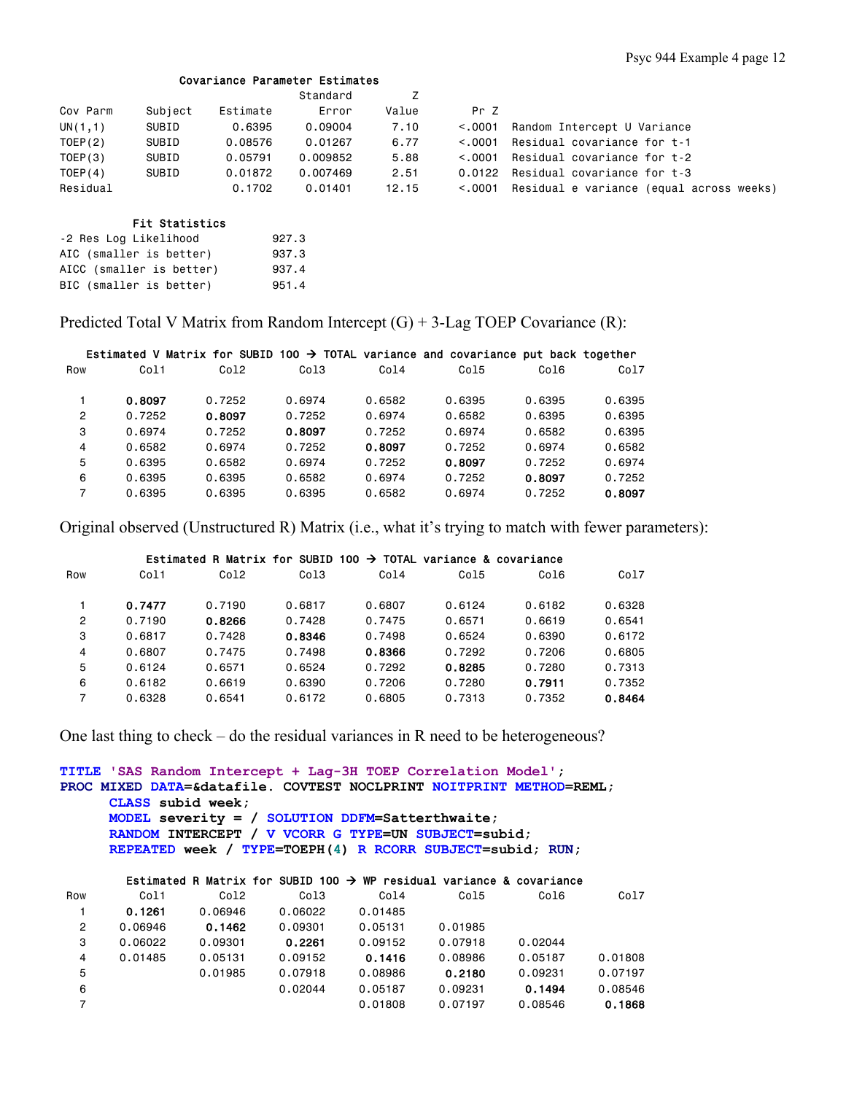### Covariance Parameter Estimates

|          |         |          | Standard |       |         |                                          |
|----------|---------|----------|----------|-------|---------|------------------------------------------|
| Cov Parm | Subject | Estimate | Error    | Value | Pr Z    |                                          |
| UN(1,1)  | SUBID   | 0.6395   | 0.09004  | 7.10  | < 0.001 | Random Intercept U Variance              |
| TOEP(2)  | SUBID   | 0.08576  | 0.01267  | 6.77  | < 0.001 | Residual covariance for t-1              |
| TOEP(3)  | SUBID   | 0.05791  | 0.009852 | 5.88  | < 0.001 | Residual covariance for t-2              |
| TOEP(4)  | SUBID   | 0.01872  | 0.007469 | 2.51  | 0.0122  | Residual covariance for t-3              |
| Residual |         | 0.1702   | 0.01401  | 12.15 | < 0.001 | Residual e variance (equal across weeks) |

## Fit Statistics

| -2 Res Log Likelihood    | 927.3 |
|--------------------------|-------|
| AIC (smaller is better)  | 937.3 |
| AICC (smaller is better) | 937.4 |
| BIC (smaller is better)  | 951.4 |

Predicted Total V Matrix from Random Intercept  $(G) + 3$ -Lag TOEP Covariance  $(R)$ :

|     |        | Estimated V Matrix for SUBID 100 $\rightarrow$ TOTAL variance and covariance put back together |                  |        |        |        |        |
|-----|--------|------------------------------------------------------------------------------------------------|------------------|--------|--------|--------|--------|
| Row | Co11   | Co12                                                                                           | Col <sub>3</sub> | Co14   | Co15   | Co16   | Co17   |
|     | 0.8097 | 0.7252                                                                                         | 0.6974           | 0.6582 | 0.6395 | 0.6395 | 0.6395 |
| 2   | 0.7252 | 0.8097                                                                                         | 0.7252           | 0.6974 | 0.6582 | 0.6395 | 0.6395 |
| 3   | 0.6974 | 0.7252                                                                                         | 0.8097           | 0.7252 | 0.6974 | 0.6582 | 0.6395 |
| 4   | 0.6582 | 0.6974                                                                                         | 0.7252           | 0.8097 | 0.7252 | 0.6974 | 0.6582 |
| 5   | 0.6395 | 0.6582                                                                                         | 0.6974           | 0.7252 | 0.8097 | 0.7252 | 0.6974 |
| 6   | 0.6395 | 0.6395                                                                                         | 0.6582           | 0.6974 | 0.7252 | 0.8097 | 0.7252 |
| 7   | 0.6395 | 0.6395                                                                                         | 0.6395           | 0.6582 | 0.6974 | 0.7252 | 0.8097 |

Original observed (Unstructured R) Matrix (i.e., what it's trying to match with fewer parameters):

|                |        | Estimated R Matrix for SUBID 100 $\rightarrow$ TOTAL variance & covariance |                  |        |        |        |        |
|----------------|--------|----------------------------------------------------------------------------|------------------|--------|--------|--------|--------|
| Row            | Col1   | Co12                                                                       | Col <sub>3</sub> | Co14   | Col5   | Col6   | Col7   |
|                | 0.7477 | 0.7190                                                                     | 0.6817           | 0.6807 | 0.6124 | 0.6182 | 0.6328 |
| $\overline{c}$ | 0.7190 | 0.8266                                                                     | 0.7428           | 0.7475 | 0.6571 | 0.6619 | 0.6541 |
| 3              | 0.6817 | 0.7428                                                                     | 0.8346           | 0.7498 | 0.6524 | 0.6390 | 0.6172 |
| 4              | 0.6807 | 0.7475                                                                     | 0.7498           | 0.8366 | 0.7292 | 0.7206 | 0.6805 |
| 5              | 0.6124 | 0.6571                                                                     | 0.6524           | 0.7292 | 0.8285 | 0.7280 | 0.7313 |
| 6              | 0.6182 | 0.6619                                                                     | 0.6390           | 0.7206 | 0.7280 | 0.7911 | 0.7352 |
| 7              | 0.6328 | 0.6541                                                                     | 0.6172           | 0.6805 | 0.7313 | 0.7352 | 0.8464 |

One last thing to check – do the residual variances in R need to be heterogeneous?

**TITLE 'SAS Random Intercept + Lag-3H TOEP Correlation Model'; PROC MIXED DATA=&datafile. COVTEST NOCLPRINT NOITPRINT METHOD=REML; CLASS subid week; MODEL severity = / SOLUTION DDFM=Satterthwaite; RANDOM INTERCEPT / V VCORR G TYPE=UN SUBJECT=subid; REPEATED week / TYPE=TOEPH(4) R RCORR SUBJECT=subid; RUN;** 

# Estimated R Matrix for SUBID 100  $\rightarrow$  WP residual variance & covariance Row Col1 Col2 Col3 Col4 Col5 Col6 Col7  $\begin{array}{cccccccc} 1 & \textbf{0.1261} & 0.06946 & 0.06022 & 0.01485 \\ 2 & 0.06946 & \textbf{0.1462} & 0.09301 & 0.05131 \\ 3 & 0.06022 & 0.09301 & \textbf{0.2261} & 0.09152 \end{array}$  2 0.06946 0.1462 0.09301 0.05131 0.01985 3 0.06022 0.09301 0.2261 0.09152 0.07918 0.02044 4 0.01485 0.05131 0.09152 0.1416 0.08986 0.05187 0.01808 5 0.01985 0.07918 0.08986 0.2180 0.09231 0.07197 6 0.02044 0.05187 0.09231 0.1494 0.08546 7 0.01808 0.07197 0.08546 0.1868